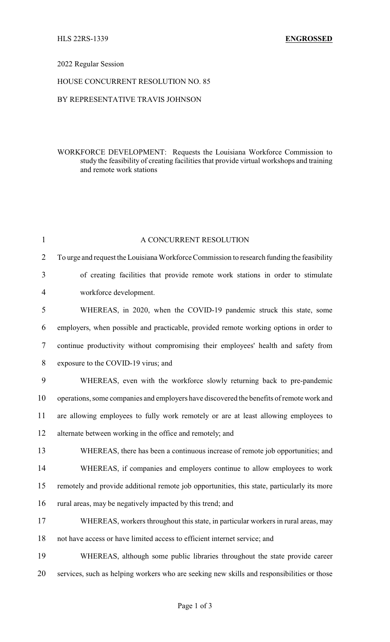### 2022 Regular Session

### HOUSE CONCURRENT RESOLUTION NO. 85

# BY REPRESENTATIVE TRAVIS JOHNSON

# WORKFORCE DEVELOPMENT: Requests the Louisiana Workforce Commission to study the feasibility of creating facilities that provide virtual workshops and training and remote work stations

| 1              | A CONCURRENT RESOLUTION                                                                     |  |
|----------------|---------------------------------------------------------------------------------------------|--|
| $\overline{2}$ | To urge and request the Louisiana Workforce Commission to research funding the feasibility  |  |
| 3              | of creating facilities that provide remote work stations in order to stimulate              |  |
| 4              | workforce development.                                                                      |  |
| 5              | WHEREAS, in 2020, when the COVID-19 pandemic struck this state, some                        |  |
| 6              | employers, when possible and practicable, provided remote working options in order to       |  |
| 7              | continue productivity without compromising their employees' health and safety from          |  |
| 8              | exposure to the COVID-19 virus; and                                                         |  |
| 9              | WHEREAS, even with the workforce slowly returning back to pre-pandemic                      |  |
| 10             | operations, some companies and employers have discovered the benefits of remote work and    |  |
| 11             | are allowing employees to fully work remotely or are at least allowing employees to         |  |
| 12             | alternate between working in the office and remotely; and                                   |  |
| 13             | WHEREAS, there has been a continuous increase of remote job opportunities; and              |  |
| 14             | WHEREAS, if companies and employers continue to allow employees to work                     |  |
| 15             | remotely and provide additional remote job opportunities, this state, particularly its more |  |
| 16             | rural areas, may be negatively impacted by this trend; and                                  |  |
| 17             | WHEREAS, workers throughout this state, in particular workers in rural areas, may           |  |
| 18             | not have access or have limited access to efficient internet service; and                   |  |
| 19             | WHEREAS, although some public libraries throughout the state provide career                 |  |
| 20             | services, such as helping workers who are seeking new skills and responsibilities or those  |  |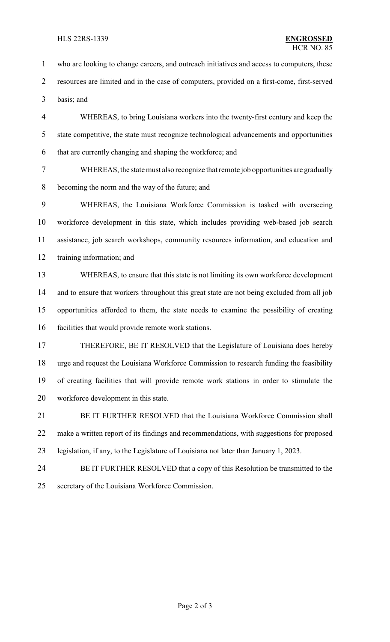#### HLS 22RS-1339 **ENGROSSED**

 who are looking to change careers, and outreach initiatives and access to computers, these resources are limited and in the case of computers, provided on a first-come, first-served basis; and WHEREAS, to bring Louisiana workers into the twenty-first century and keep the state competitive, the state must recognize technological advancements and opportunities that are currently changing and shaping the workforce; and WHEREAS, the state must also recognize that remote job opportunities are gradually becoming the norm and the way of the future; and WHEREAS, the Louisiana Workforce Commission is tasked with overseeing workforce development in this state, which includes providing web-based job search assistance, job search workshops, community resources information, and education and training information; and WHEREAS, to ensure that this state is not limiting its own workforce development 14 and to ensure that workers throughout this great state are not being excluded from all job opportunities afforded to them, the state needs to examine the possibility of creating facilities that would provide remote work stations. THEREFORE, BE IT RESOLVED that the Legislature of Louisiana does hereby urge and request the Louisiana Workforce Commission to research funding the feasibility of creating facilities that will provide remote work stations in order to stimulate the workforce development in this state. 21 BE IT FURTHER RESOLVED that the Louisiana Workforce Commission shall make a written report of its findings and recommendations, with suggestions for proposed

- legislation, if any, to the Legislature of Louisiana not later than January 1, 2023.
- BE IT FURTHER RESOLVED that a copy of this Resolution be transmitted to the secretary of the Louisiana Workforce Commission.